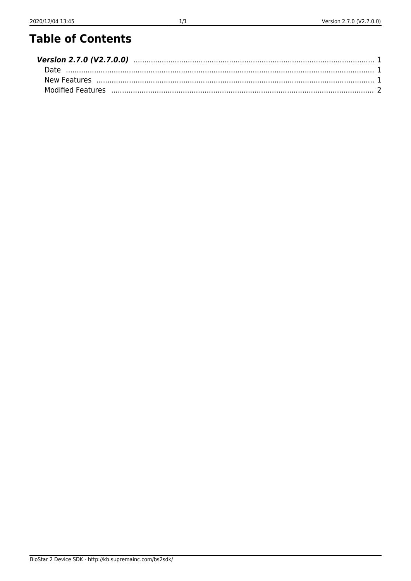## **Table of Contents**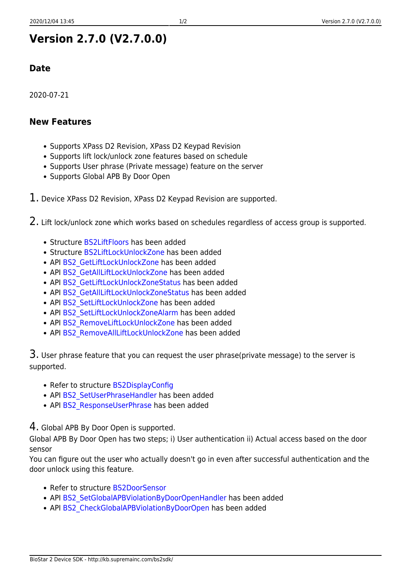### <span id="page-1-0"></span>**Version 2.7.0 (V2.7.0.0)**

#### <span id="page-1-1"></span>**Date**

2020-07-21

#### <span id="page-1-2"></span>**New Features**

- Supports XPass D2 Revision, XPass D2 Keypad Revision
- Supports lift lock/unlock zone features based on schedule
- Supports User phrase (Private message) feature on the server
- Supports Global APB By Door Open
- $1.$  Device XPass D2 Revision, XPass D2 Keypad Revision are supported.

2. Lift lock/unlock zone which works based on schedules regardless of access group is supported.

- Structure [BS2LiftFloors](http://kb.supremainc.com/bs2sdk/doku.php?id=en:zone_control_api#bs2liftfloors) has been added
- Structure [BS2LiftLockUnlockZone](http://kb.supremainc.com/bs2sdk/doku.php?id=en:zone_control_api#bs2liftlockunlockzone) has been added
- API BS2 GetLiftLockUnlockZone has been added
- API BS2 GetAllLiftLockUnlockZone has been added
- API [BS2\\_GetLiftLockUnlockZoneStatus](http://kb.supremainc.com/bs2sdk/doku.php?id=en:bs2_getliftlockunlockzonestatus) has been added
- API [BS2\\_GetAllLiftLockUnlockZoneStatus](http://kb.supremainc.com/bs2sdk/doku.php?id=en:bs2_getallliftlockunlockzonestatus) has been added
- API BS2 SetLiftLockUnlockZone has been added
- API BS2 SetLiftLockUnlockZoneAlarm has been added
- API [BS2\\_RemoveLiftLockUnlockZone](http://kb.supremainc.com/bs2sdk/doku.php?id=en:bs2_removeliftlockunlockzone) has been added
- API [BS2\\_RemoveAllLiftLockUnlockZone](http://kb.supremainc.com/bs2sdk/doku.php?id=en:bs2_removeallliftlockunlockzone) has been added

3. User phrase feature that you can request the user phrase(private message) to the server is supported.

- Refer to structure [BS2DisplayConfig](http://kb.supremainc.com/bs2sdk/doku.php?id=en:configuration_api#bs2displayconfig)
- API BS2 SetUserPhraseHandler has been added
- API BS2 ResponseUserPhrase has been added

4. Global APB By Door Open is supported.

Global APB By Door Open has two steps; i) User authentication ii) Actual access based on the door sensor

You can figure out the user who actually doesn't go in even after successful authentication and the door unlock using this feature.

- Refer to structure [BS2DoorSensor](http://kb.supremainc.com/bs2sdk/doku.php?id=en:door_control_api#bs2doorsensor)
- API BS2 SetGlobalAPBViolationByDoorOpenHandler has been added
- API BS2 CheckGlobalAPBViolationByDoorOpen has been added